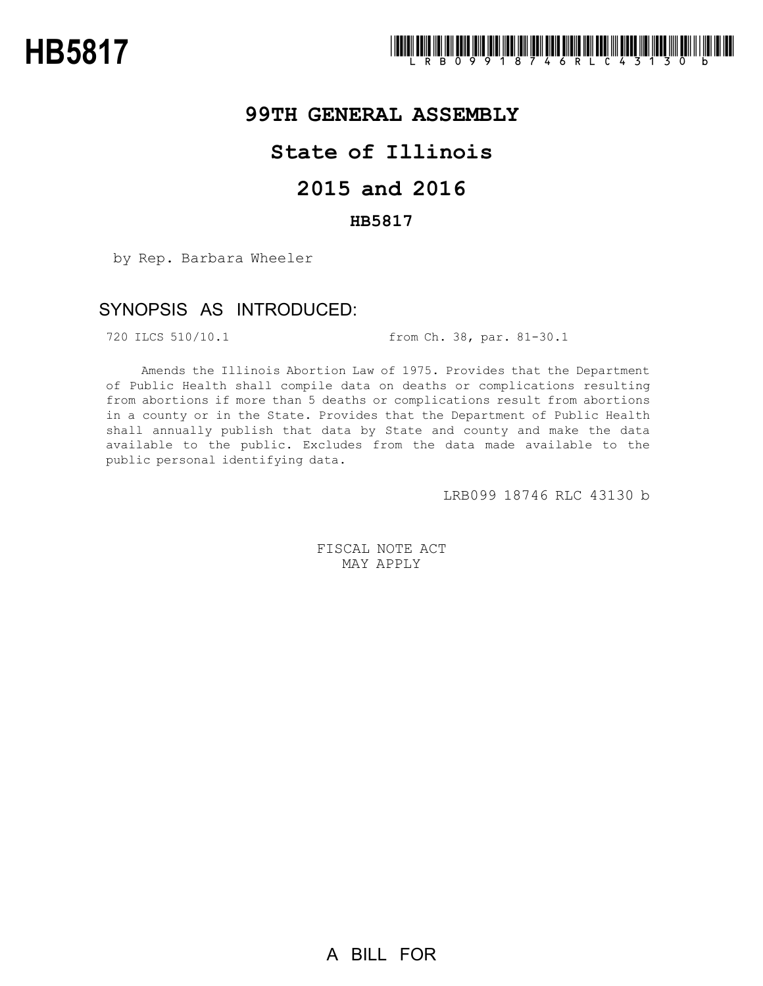

### **99TH GENERAL ASSEMBLY**

# **State of Illinois**

# **2015 and 2016**

### **HB5817**

by Rep. Barbara Wheeler

## SYNOPSIS AS INTRODUCED:

720 ILCS 510/10.1 from Ch. 38, par. 81-30.1

Amends the Illinois Abortion Law of 1975. Provides that the Department of Public Health shall compile data on deaths or complications resulting from abortions if more than 5 deaths or complications result from abortions in a county or in the State. Provides that the Department of Public Health shall annually publish that data by State and county and make the data available to the public. Excludes from the data made available to the public personal identifying data.

LRB099 18746 RLC 43130 b

FISCAL NOTE ACT MAY APPLY

A BILL FOR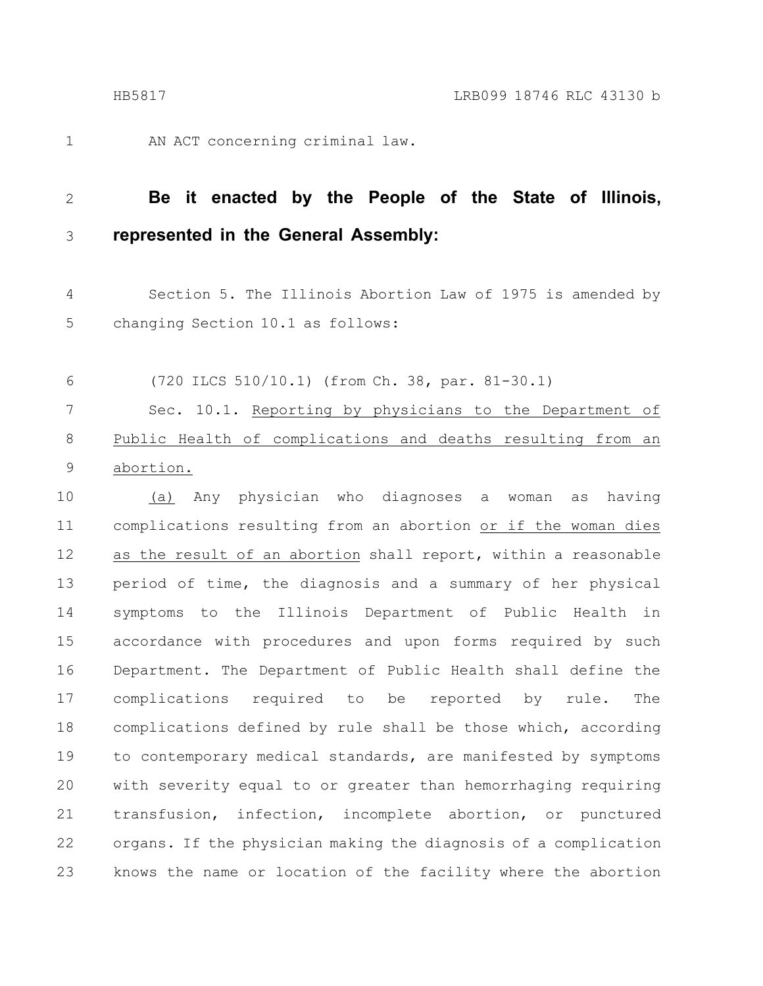1

AN ACT concerning criminal law.

#### **Be it enacted by the People of the State of Illinois, represented in the General Assembly:** 2 3

Section 5. The Illinois Abortion Law of 1975 is amended by changing Section 10.1 as follows: 4 5

(720 ILCS 510/10.1) (from Ch. 38, par. 81-30.1) Sec. 10.1. Reporting by physicians to the Department of Public Health of complications and deaths resulting from an abortion. 6 7 8 9

(a) Any physician who diagnoses a woman as having complications resulting from an abortion or if the woman dies as the result of an abortion shall report, within a reasonable period of time, the diagnosis and a summary of her physical symptoms to the Illinois Department of Public Health in accordance with procedures and upon forms required by such Department. The Department of Public Health shall define the complications required to be reported by rule. The complications defined by rule shall be those which, according to contemporary medical standards, are manifested by symptoms with severity equal to or greater than hemorrhaging requiring transfusion, infection, incomplete abortion, or punctured organs. If the physician making the diagnosis of a complication knows the name or location of the facility where the abortion 10 11 12 13 14 15 16 17 18 19 20 21 22 23